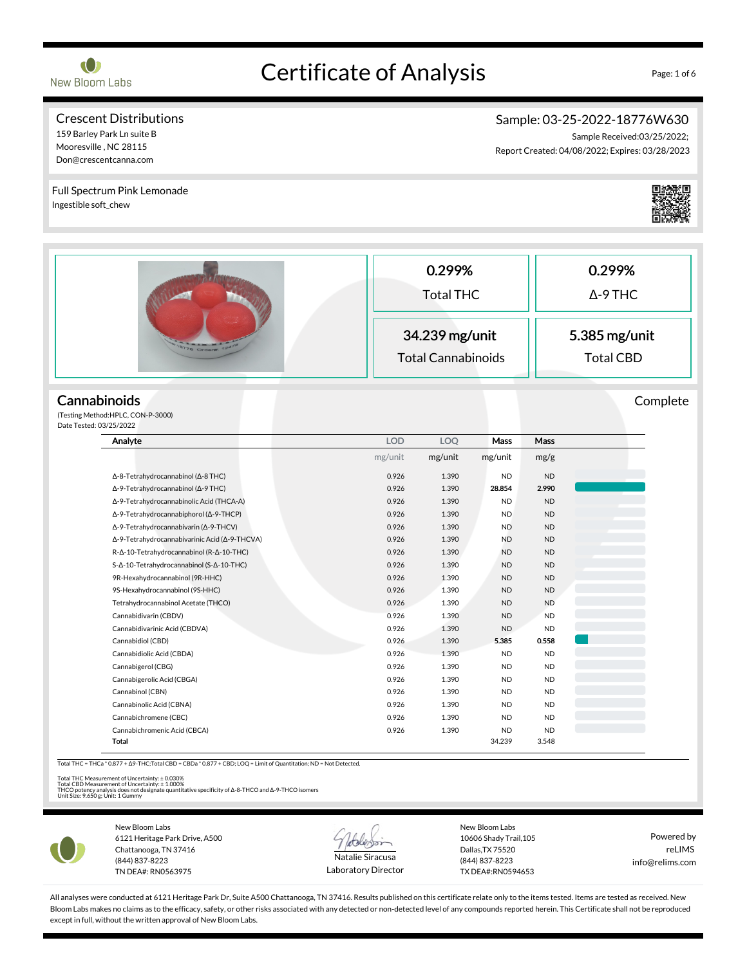

# Certificate of Analysis Page: 1 of 6

#### Crescent Distributions 159 Barley Park Ln suite B

Mooresville , NC 28115 Don@crescentcanna.com

# Sample: 03-25-2022-18776W630

Sample Received:03/25/2022; Report Created: 04/08/2022; Expires: 03/28/2023

0.299% Total THC 0.299% Δ-9 THC 34.239 mg/unit Total Cannabinoids 5.385 mg/unit Total CBD **Cannabinoids** (Testing Method:HPLC, CON-P-3000) Date Tested: 03/25/2022 Complete Analyte LOD LOQ Mass Mass mg/unit mg/unit mg/unit mg/g Δ-8-Tetrahydrocannabinol (Δ-8 THC) 0.926 1.390 ND ND Δ-9-Tetrahydrocannabinol (Δ-9 THC) 0.926 1.390 28.854 2.990 Δ-9-Tetrahydrocannabinolic Acid (THCA-A) 0.926 1.390 ND ND Δ-9-Tetrahydrocannabiphorol (Δ-9-THCP) 0.926 1.390 ND ND Δ-9-Tetrahydrocannabivarin (Δ-9-THCV) 0.926 1.390 ND ND Δ-9-Tetrahydrocannabivarinic Acid (Δ-9-THCVA) 0.926 1.390 ND ND R-Δ-10-Tetrahydrocannabinol (R-Δ-10-THC) 0.926 1.390 ND ND S-Δ-10-Tetrahydrocannabinol (S-Δ-10-THC) 0.926 1.390 ND ND ND 9R-Hexahydrocannabinol (9R-HHC) 0.926 1.390 ND ND 9S-Hexahydrocannabinol (9S-HHC) 0.926 1.390 ND ND Tetrahydrocannabinol Acetate (THCO) 0.926 1.390 ND ND Cannabidivarin (CBDV) 0.926 1.390 ND ND Cannabidivarinic Acid (CBDVA) 0.926 1.390 ND ND Cannabidiol (CBD) 0.926 1.390 5.385 0.558 Cannabidiolic Acid (CBDA) 0.926 1.390 ND ND Cannabigerol (CBG) **0.926** 1.390 ND ND Cannabigerolic Acid (CBGA) 0.926 1.390 ND ND Cannabinol (CBN) 0.926 1.390 ND ND Cannabinolic Acid (CBNA) 0.926 1.390 ND ND Cannabichromene (CBC) 0.926 1.390 ND ND Cannabichromenic Acid (CBCA) 0.926 1.390 ND ND Total 34.239 3.548 Total THC = THCa \* 0.877 + Δ9-THC;Total CBD = CBDa \* 0.877 + CBD; LOQ = Limit of Quantitation; ND = Not Detected. Full Spectrum Pink Lemonade Ingestible soft\_chew

Total THC Measurement of Uncertainty: ± 0.030%<br>Total CBD Measurement of Uncertainty: ± 1.000%<br>THCO potency analysis does not designate quantitative specificity of Δ-8-THCO and Δ-9-THCO isomers<br>Unit Size: 9.650 g; Unit: 1



New Bloom Labs 6121 Heritage Park Drive, A500 Chattanooga, TN 37416 (844) 837-8223 TN DEA#: RN0563975



Laboratory Director

New Bloom Labs 10606 Shady Trail,105 Dallas,TX 75520 (844) 837-8223 TX DEA#:RN0594653

Powered by reLIMS info@relims.com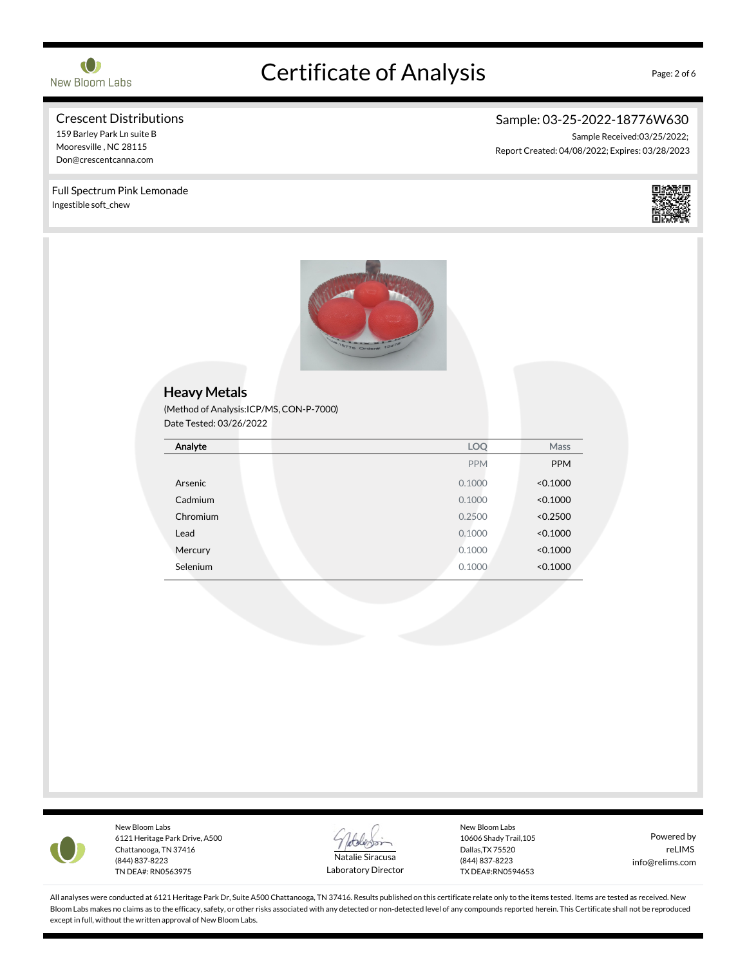

# Certificate of Analysis Page: 2 of 6

#### Crescent Distributions 159 Barley Park Ln suite B

Mooresville , NC 28115 Don@crescentcanna.com

# Sample: 03-25-2022-18776W630

Sample Received:03/25/2022; Report Created: 04/08/2022; Expires: 03/28/2023







New Bloom Labs 6121 Heritage Park Drive, A500 Chattanooga, TN 37416 (844) 837-8223 TN DEA#: RN0563975



Laboratory Director

New Bloom Labs 10606 Shady Trail,105 Dallas,TX 75520 (844) 837-8223 TX DEA#:RN0594653

Powered by reLIMS info@relims.com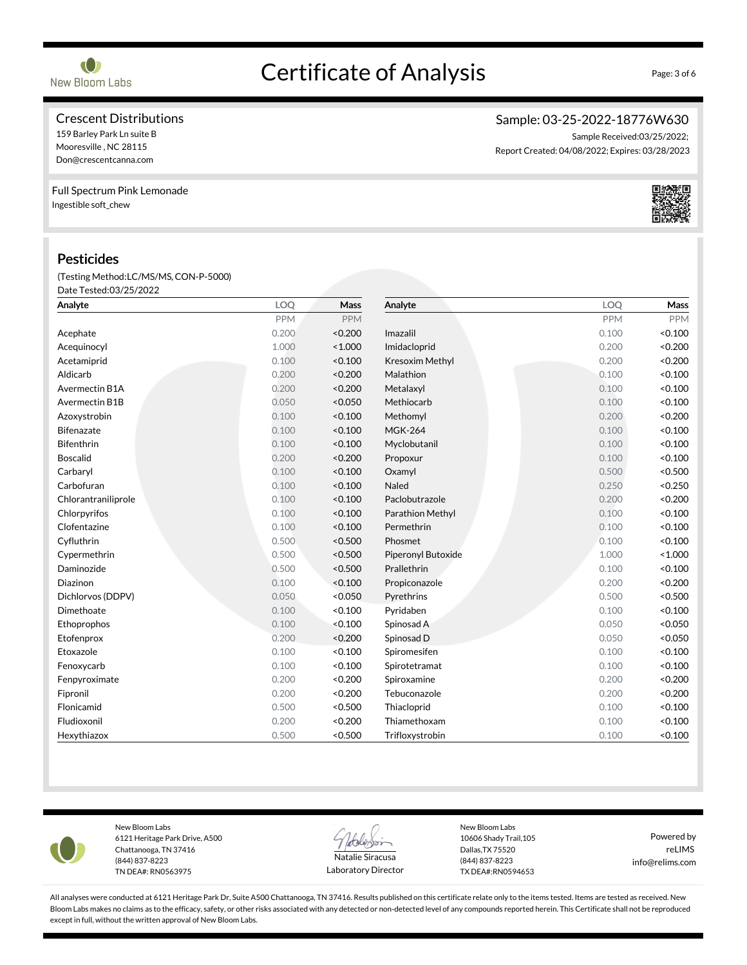

# Certificate of Analysis Page: 3 of 6

## Crescent Distributions

159 Barley Park Ln suite B Mooresville , NC 28115 Don@crescentcanna.com

### Full Spectrum Pink Lemonade Ingestible soft\_chew

### Pesticides

(Testing Method:LC/MS/MS,CON-P-5000) Date Tested:03/25/2022

| Analyte             | LOQ        | Mass       | Analyte            | LOQ        | Mass       |
|---------------------|------------|------------|--------------------|------------|------------|
|                     | <b>PPM</b> | <b>PPM</b> |                    | <b>PPM</b> | <b>PPM</b> |
| Acephate            | 0.200      | < 0.200    | Imazalil           | 0.100      | < 0.100    |
| Acequinocyl         | 1.000      | < 1.000    | Imidacloprid       | 0.200      | < 0.200    |
| Acetamiprid         | 0.100      | < 0.100    | Kresoxim Methyl    | 0.200      | < 0.200    |
| Aldicarb            | 0.200      | < 0.200    | Malathion          | 0.100      | < 0.100    |
| Avermectin B1A      | 0.200      | < 0.200    | Metalaxyl          | 0.100      | < 0.100    |
| Avermectin B1B      | 0.050      | < 0.050    | Methiocarb         | 0.100      | < 0.100    |
| Azoxystrobin        | 0.100      | < 0.100    | Methomyl           | 0.200      | < 0.200    |
| <b>Bifenazate</b>   | 0.100      | < 0.100    | <b>MGK-264</b>     | 0.100      | < 0.100    |
| <b>Bifenthrin</b>   | 0.100      | < 0.100    | Myclobutanil       | 0.100      | < 0.100    |
| <b>Boscalid</b>     | 0.200      | < 0.200    | Propoxur           | 0.100      | < 0.100    |
| Carbaryl            | 0.100      | < 0.100    | Oxamyl             | 0.500      | < 0.500    |
| Carbofuran          | 0.100      | < 0.100    | Naled              | 0.250      | < 0.250    |
| Chlorantraniliprole | 0.100      | < 0.100    | Paclobutrazole     | 0.200      | < 0.200    |
| Chlorpyrifos        | 0.100      | < 0.100    | Parathion Methyl   | 0.100      | < 0.100    |
| Clofentazine        | 0.100      | < 0.100    | Permethrin         | 0.100      | < 0.100    |
| Cyfluthrin          | 0.500      | < 0.500    | Phosmet            | 0.100      | < 0.100    |
| Cypermethrin        | 0.500      | < 0.500    | Piperonyl Butoxide | 1.000      | < 1.000    |
| Daminozide          | 0.500      | < 0.500    | Prallethrin        | 0.100      | < 0.100    |
| <b>Diazinon</b>     | 0.100      | < 0.100    | Propiconazole      | 0.200      | < 0.200    |
| Dichlorvos (DDPV)   | 0.050      | < 0.050    | Pyrethrins         | 0.500      | < 0.500    |
| Dimethoate          | 0.100      | < 0.100    | Pyridaben          | 0.100      | < 0.100    |
| Ethoprophos         | 0.100      | < 0.100    | Spinosad A         | 0.050      | < 0.050    |
| Etofenprox          | 0.200      | < 0.200    | Spinosad D         | 0.050      | < 0.050    |
| Etoxazole           | 0.100      | < 0.100    | Spiromesifen       | 0.100      | < 0.100    |
| Fenoxycarb          | 0.100      | < 0.100    | Spirotetramat      | 0.100      | < 0.100    |
| Fenpyroximate       | 0.200      | < 0.200    | Spiroxamine        | 0.200      | < 0.200    |
| Fipronil            | 0.200      | < 0.200    | Tebuconazole       | 0.200      | < 0.200    |
| Flonicamid          | 0.500      | < 0.500    | Thiacloprid        | 0.100      | < 0.100    |
| Fludioxonil         | 0.200      | < 0.200    | Thiamethoxam       | 0.100      | < 0.100    |
| Hexythiazox         | 0.500      | < 0.500    | Trifloxystrobin    | 0.100      | < 0.100    |



New Bloom Labs 6121 Heritage Park Drive, A500 Chattanooga, TN 37416 (844) 837-8223 TN DEA#: RN0563975



Laboratory Director

New Bloom Labs 10606 Shady Trail,105 Dallas,TX 75520 (844) 837-8223 TX DEA#:RN0594653

Powered by reLIMS info@relims.com

All analyses were conducted at 6121 Heritage Park Dr, Suite A500 Chattanooga, TN 37416. Results published on this certificate relate only to the items tested. Items are tested as received. New Bloom Labs makes no claims as to the efficacy, safety, or other risks associated with any detected or non-detected level of any compounds reported herein. This Certificate shall not be reproduced except in full, without the written approval of New Bloom Labs.

# Sample: 03-25-2022-18776W630

Sample Received:03/25/2022; Report Created: 04/08/2022; Expires: 03/28/2023

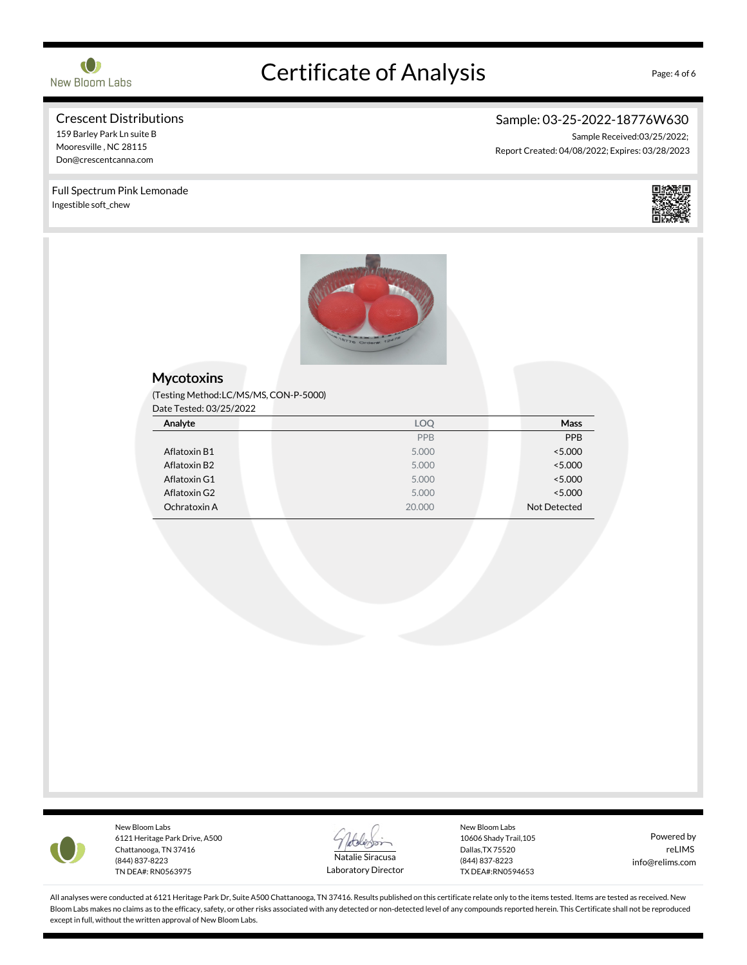

# Certificate of Analysis Page: 4 of 6

#### Crescent Distributions 159 Barley Park Ln suite B

Full Spectrum Pink Lemonade

Mooresville , NC 28115 Don@crescentcanna.com

Ingestible soft\_chew

# Sample: 03-25-2022-18776W630

Sample Received:03/25/2022; Report Created: 04/08/2022; Expires: 03/28/2023





### **Mycotoxins**

(Testing Method:LC/MS/MS,CON-P-5000)

Date Tested: 03/25/2022

| Analyte      | LOQ    | Mass         |
|--------------|--------|--------------|
|              | PPB    | PPB          |
| Aflatoxin B1 | 5.000  | < 5.000      |
| Aflatoxin B2 | 5.000  | < 5.000      |
| Aflatoxin G1 | 5.000  | < 5.000      |
| Aflatoxin G2 | 5.000  | < 5.000      |
| Ochratoxin A | 20,000 | Not Detected |



New Bloom Labs 6121 Heritage Park Drive, A500 Chattanooga, TN 37416 (844) 837-8223 TN DEA#: RN0563975



Laboratory Director

New Bloom Labs 10606 Shady Trail,105 Dallas,TX 75520 (844) 837-8223 TX DEA#:RN0594653

Powered by reLIMS info@relims.com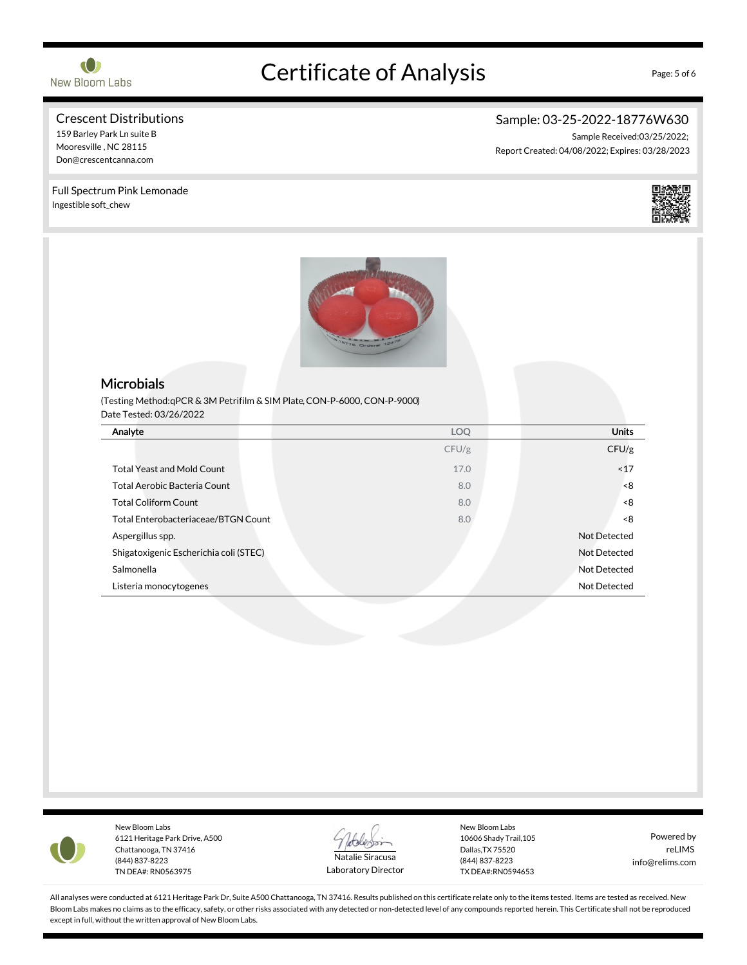

# Certificate of Analysis Page: 5 of 6

#### Crescent Distributions 159 Barley Park Ln suite B

Full Spectrum Pink Lemonade

Mooresville , NC 28115 Don@crescentcanna.com

Ingestible soft\_chew

# Sample: 03-25-2022-18776W630

Sample Received:03/25/2022; Report Created: 04/08/2022; Expires: 03/28/2023



## **Microbials**

(Testing Method:qPCR & 3M Petrifilm & SIM Plate,CON-P-6000, CON-P-9000) Date Tested: 03/26/2022

| Analyte                                | <b>LOQ</b> | <b>Units</b> |
|----------------------------------------|------------|--------------|
|                                        | CFU/g      | CFU/g        |
| <b>Total Yeast and Mold Count</b>      | 17.0       | ~17          |
| Total Aerobic Bacteria Count           | 8.0        | $8-$         |
| <b>Total Coliform Count</b>            | 8.0        | -8           |
| Total Enterobacteriaceae/BTGN Count    | 8.0        | $8-$         |
| Aspergillus spp.                       |            | Not Detected |
| Shigatoxigenic Escherichia coli (STEC) |            | Not Detected |
| Salmonella                             |            | Not Detected |
| Listeria monocytogenes                 |            | Not Detected |



New Bloom Labs 6121 Heritage Park Drive, A500 Chattanooga, TN 37416 (844) 837-8223 TN DEA#: RN0563975



Laboratory Director

New Bloom Labs 10606 Shady Trail,105 Dallas,TX 75520 (844) 837-8223 TX DEA#:RN0594653

Powered by reLIMS info@relims.com